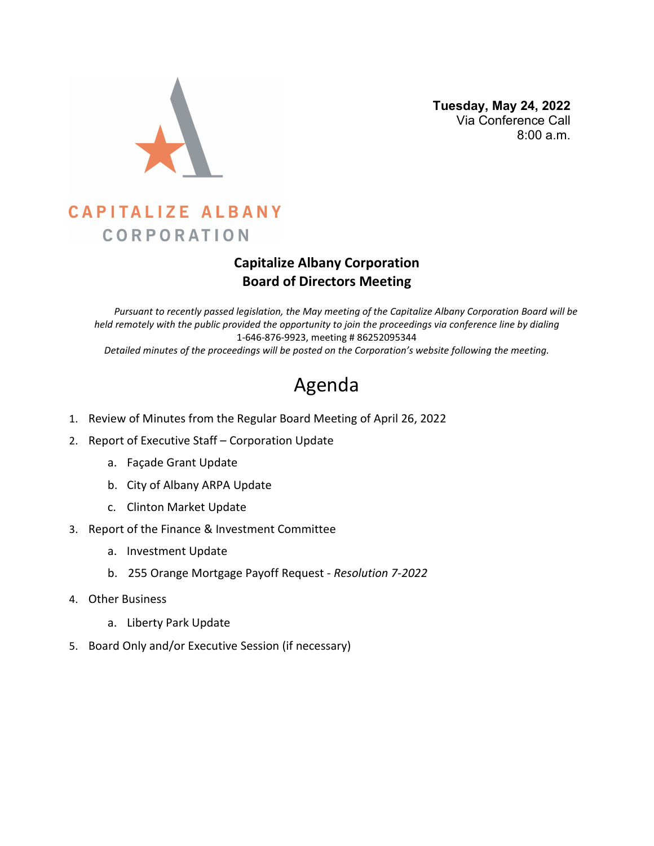

 **Tuesday, May 24, 2022** Via Conference Call 8:00 a.m.

# **CAPITALIZE ALBANY CORPORATION**

### **Capitalize Albany Corporation Board of Directors Meeting**

*Pursuant to recently passed legislation, the May meeting of the Capitalize Albany Corporation Board will be held remotely with the public provided the opportunity to join the proceedings via conference line by dialing* 1-646-876-9923, meeting # 86252095344 *Detailed minutes of the proceedings will be posted on the Corporation's website following the meeting.*

# Agenda

- 1. Review of Minutes from the Regular Board Meeting of April 26, 2022
- 2. Report of Executive Staff Corporation Update
	- a. Façade Grant Update
	- b. City of Albany ARPA Update
	- c. Clinton Market Update
- 3. Report of the Finance & Investment Committee
	- a. Investment Update
	- b. 255 Orange Mortgage Payoff Request *Resolution 7-2022*
- 4. Other Business
	- a. Liberty Park Update
- 5. Board Only and/or Executive Session (if necessary)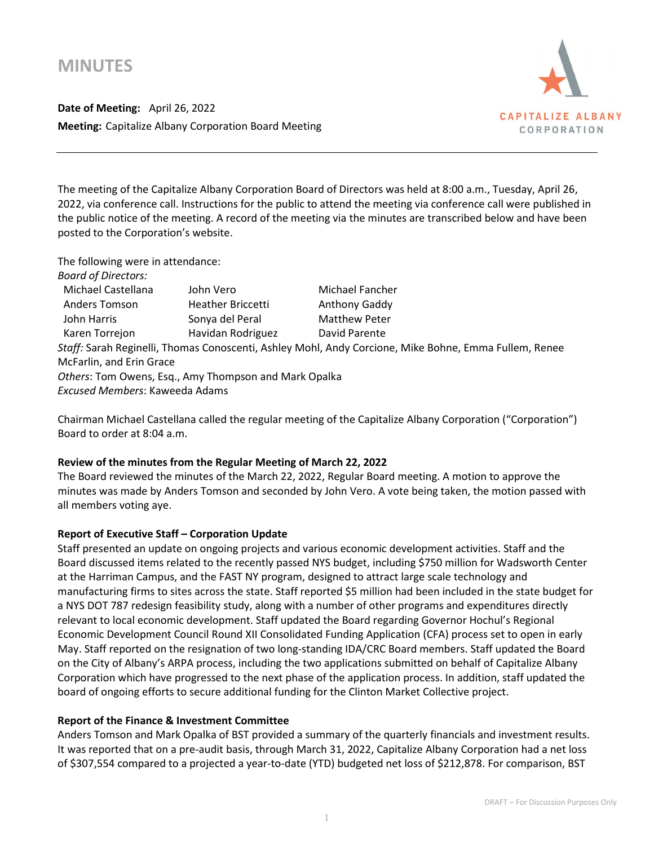## **MINUTES**

**Date of Meeting:** April 26, 2022 **Meeting:** Capitalize Albany Corporation Board Meeting



The meeting of the Capitalize Albany Corporation Board of Directors was held at 8:00 a.m., Tuesday, April 26, 2022, via conference call. Instructions for the public to attend the meeting via conference call were published in the public notice of the meeting. A record of the meeting via the minutes are transcribed below and have been posted to the Corporation's website.

| The following were in attendance:                                                                     |                                                       |                      |  |  |  |  |  |
|-------------------------------------------------------------------------------------------------------|-------------------------------------------------------|----------------------|--|--|--|--|--|
| <b>Board of Directors:</b>                                                                            |                                                       |                      |  |  |  |  |  |
| Michael Castellana                                                                                    | John Vero                                             | Michael Fancher      |  |  |  |  |  |
| <b>Anders Tomson</b>                                                                                  | <b>Heather Briccetti</b>                              | Anthony Gaddy        |  |  |  |  |  |
| John Harris                                                                                           | Sonya del Peral                                       | <b>Matthew Peter</b> |  |  |  |  |  |
| Karen Torrejon                                                                                        | Havidan Rodriguez                                     | David Parente        |  |  |  |  |  |
| Staff: Sarah Reginelli, Thomas Conoscenti, Ashley Mohl, Andy Corcione, Mike Bohne, Emma Fullem, Renee |                                                       |                      |  |  |  |  |  |
| McFarlin, and Erin Grace                                                                              |                                                       |                      |  |  |  |  |  |
|                                                                                                       | Others: Tom Owens, Esq., Amy Thompson and Mark Opalka |                      |  |  |  |  |  |
| Excused Members: Kaweeda Adams                                                                        |                                                       |                      |  |  |  |  |  |
|                                                                                                       |                                                       |                      |  |  |  |  |  |

Chairman Michael Castellana called the regular meeting of the Capitalize Albany Corporation ("Corporation") Board to order at 8:04 a.m.

#### **Review of the minutes from the Regular Meeting of March 22, 2022**

The Board reviewed the minutes of the March 22, 2022, Regular Board meeting. A motion to approve the minutes was made by Anders Tomson and seconded by John Vero. A vote being taken, the motion passed with all members voting aye.

#### **Report of Executive Staff – Corporation Update**

Staff presented an update on ongoing projects and various economic development activities. Staff and the Board discussed items related to the recently passed NYS budget, including \$750 million for Wadsworth Center at the Harriman Campus, and the FAST NY program, designed to attract large scale technology and manufacturing firms to sites across the state. Staff reported \$5 million had been included in the state budget for a NYS DOT 787 redesign feasibility study, along with a number of other programs and expenditures directly relevant to local economic development. Staff updated the Board regarding Governor Hochul's Regional Economic Development Council Round XII Consolidated Funding Application (CFA) process set to open in early May. Staff reported on the resignation of two long-standing IDA/CRC Board members. Staff updated the Board on the City of Albany's ARPA process, including the two applications submitted on behalf of Capitalize Albany Corporation which have progressed to the next phase of the application process. In addition, staff updated the board of ongoing efforts to secure additional funding for the Clinton Market Collective project.

#### **Report of the Finance & Investment Committee**

Anders Tomson and Mark Opalka of BST provided a summary of the quarterly financials and investment results. It was reported that on a pre-audit basis, through March 31, 2022, Capitalize Albany Corporation had a net loss of \$307,554 compared to a projected a year-to-date (YTD) budgeted net loss of \$212,878. For comparison, BST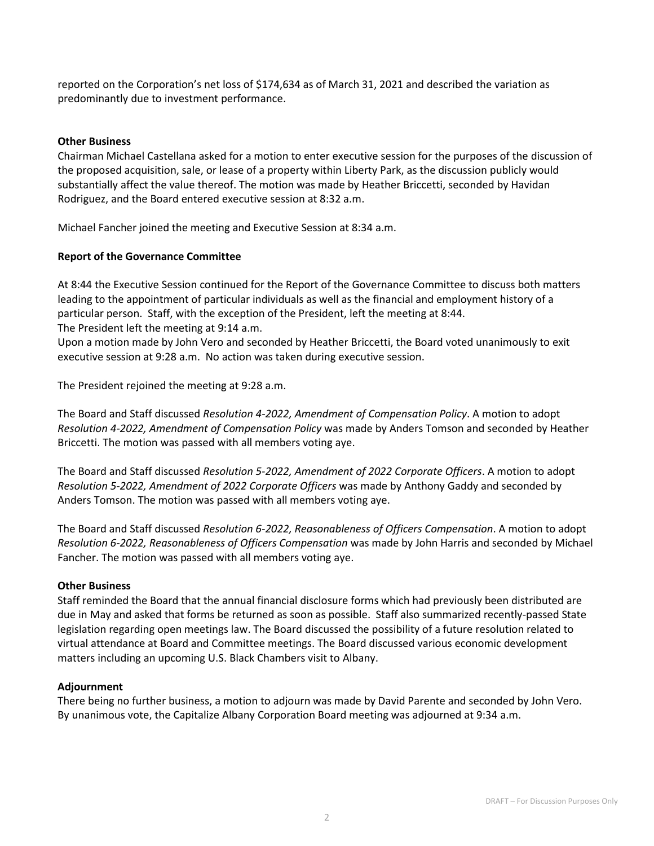reported on the Corporation's net loss of \$174,634 as of March 31, 2021 and described the variation as predominantly due to investment performance.

#### **Other Business**

Chairman Michael Castellana asked for a motion to enter executive session for the purposes of the discussion of the proposed acquisition, sale, or lease of a property within Liberty Park, as the discussion publicly would substantially affect the value thereof. The motion was made by Heather Briccetti, seconded by Havidan Rodriguez, and the Board entered executive session at 8:32 a.m.

Michael Fancher joined the meeting and Executive Session at 8:34 a.m.

#### **Report of the Governance Committee**

At 8:44 the Executive Session continued for the Report of the Governance Committee to discuss both matters leading to the appointment of particular individuals as well as the financial and employment history of a particular person. Staff, with the exception of the President, left the meeting at 8:44. The President left the meeting at 9:14 a.m.

Upon a motion made by John Vero and seconded by Heather Briccetti, the Board voted unanimously to exit executive session at 9:28 a.m. No action was taken during executive session.

The President rejoined the meeting at 9:28 a.m.

The Board and Staff discussed *Resolution 4-2022, Amendment of Compensation Policy*. A motion to adopt *Resolution 4-2022, Amendment of Compensation Policy* was made by Anders Tomson and seconded by Heather Briccetti. The motion was passed with all members voting aye.

The Board and Staff discussed *Resolution 5-2022, Amendment of 2022 Corporate Officers*. A motion to adopt *Resolution 5-2022, Amendment of 2022 Corporate Officers* was made by Anthony Gaddy and seconded by Anders Tomson. The motion was passed with all members voting aye.

The Board and Staff discussed *Resolution 6-2022, Reasonableness of Officers Compensation*. A motion to adopt *Resolution 6-2022, Reasonableness of Officers Compensation* was made by John Harris and seconded by Michael Fancher. The motion was passed with all members voting aye.

#### **Other Business**

Staff reminded the Board that the annual financial disclosure forms which had previously been distributed are due in May and asked that forms be returned as soon as possible. Staff also summarized recently-passed State legislation regarding open meetings law. The Board discussed the possibility of a future resolution related to virtual attendance at Board and Committee meetings. The Board discussed various economic development matters including an upcoming U.S. Black Chambers visit to Albany.

#### **Adjournment**

There being no further business, a motion to adjourn was made by David Parente and seconded by John Vero. By unanimous vote, the Capitalize Albany Corporation Board meeting was adjourned at 9:34 a.m.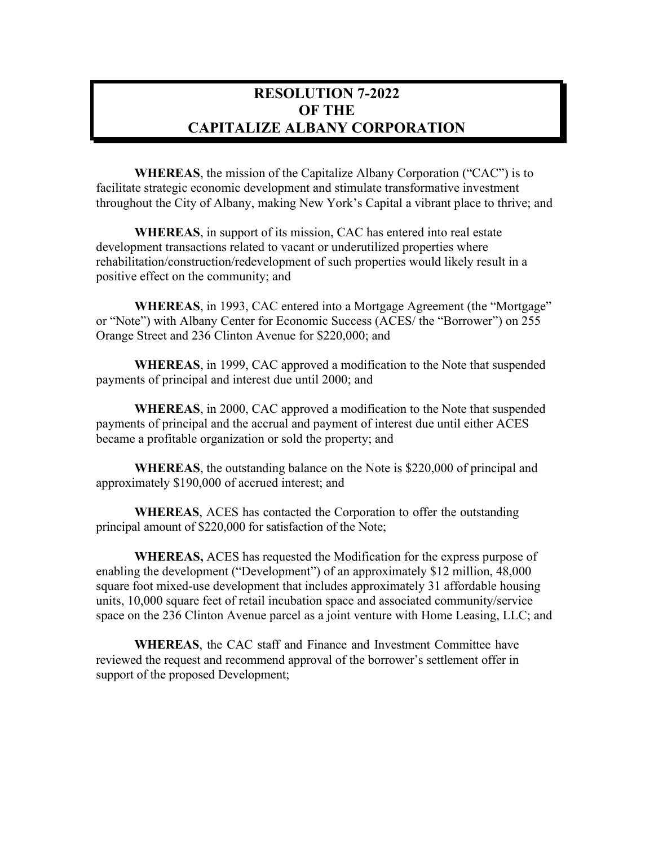### **RESOLUTION 7-2022 OF THE CAPITALIZE ALBANY CORPORATION**

**WHEREAS**, the mission of the Capitalize Albany Corporation ("CAC") is to facilitate strategic economic development and stimulate transformative investment throughout the City of Albany, making New York's Capital a vibrant place to thrive; and

**WHEREAS**, in support of its mission, CAC has entered into real estate development transactions related to vacant or underutilized properties where rehabilitation/construction/redevelopment of such properties would likely result in a positive effect on the community; and

**WHEREAS**, in 1993, CAC entered into a Mortgage Agreement (the "Mortgage" or "Note") with Albany Center for Economic Success (ACES/ the "Borrower") on 255 Orange Street and 236 Clinton Avenue for \$220,000; and

**WHEREAS**, in 1999, CAC approved a modification to the Note that suspended payments of principal and interest due until 2000; and

**WHEREAS**, in 2000, CAC approved a modification to the Note that suspended payments of principal and the accrual and payment of interest due until either ACES became a profitable organization or sold the property; and

**WHEREAS**, the outstanding balance on the Note is \$220,000 of principal and approximately \$190,000 of accrued interest; and

**WHEREAS**, ACES has contacted the Corporation to offer the outstanding principal amount of \$220,000 for satisfaction of the Note;

**WHEREAS,** ACES has requested the Modification for the express purpose of enabling the development ("Development") of an approximately \$12 million, 48,000 square foot mixed-use development that includes approximately 31 affordable housing units, 10,000 square feet of retail incubation space and associated community/service space on the 236 Clinton Avenue parcel as a joint venture with Home Leasing, LLC; and

**WHEREAS**, the CAC staff and Finance and Investment Committee have reviewed the request and recommend approval of the borrower's settlement offer in support of the proposed Development;